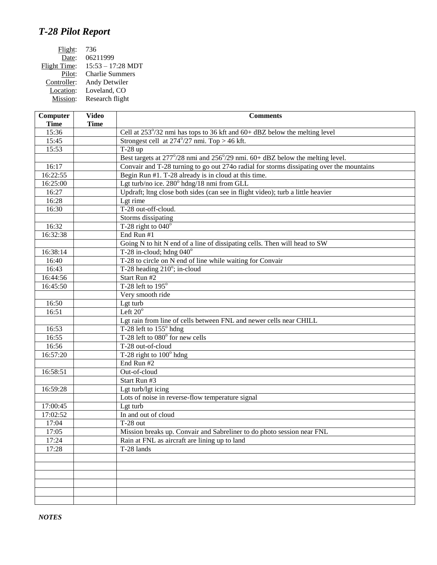## *T-28 Pilot Report*

| Flight:      | 736                    |
|--------------|------------------------|
| Date:        | 06211999               |
| Flight Time: | $15:53 - 17:28$ MDT    |
| Pilot:       | <b>Charlie Summers</b> |
| Controller:  | Andy Detwiler          |
| Location:    | Loveland, CO           |
| Mission:     | Research flight        |
|              |                        |

| Computer    | <b>Video</b> | <b>Comments</b>                                                                          |
|-------------|--------------|------------------------------------------------------------------------------------------|
| <b>Time</b> | <b>Time</b>  |                                                                                          |
| 15:36       |              | Cell at 253°/32 nmi has tops to 36 kft and 60+ dBZ below the melting level               |
| 15:45       |              | Strongest cell at $274^{\circ}/27$ nmi. Top > 46 kft.                                    |
| 15:53       |              | $T-28$ up                                                                                |
|             |              | Best targets at 277°/28 nmi and 256°/29 nmi. 60+ dBZ below the melting level.            |
| 16:17       |              | Convair and T-28 turning to go out 274o radial for storms dissipating over the mountains |
| 16:22:55    |              | Begin Run #1. T-28 already is in cloud at this time.                                     |
| 16:25:00    |              | Lgt turb/no ice. 280° hdng/18 nmi from GLL                                               |
| 16:27       |              | Updraft; ltng close both sides (can see in flight video); turb a little heavier          |
| 16:28       |              | Lgt rime                                                                                 |
| 16:30       |              | T-28 out-off-cloud.                                                                      |
|             |              | Storms dissipating                                                                       |
| 16:32       |              | T-28 right to $040^\circ$                                                                |
| 16:32:38    |              | End Run #1                                                                               |
|             |              | Going N to hit N end of a line of dissipating cells. Then will head to SW                |
| 16:38:14    |              | T-28 in-cloud; hdng $040^\circ$                                                          |
| 16:40       |              | T-28 to circle on N end of line while waiting for Convair                                |
| 16:43       |              | T-28 heading $210^\circ$ ; in-cloud                                                      |
| 16:44:56    |              | Start Run #2                                                                             |
| 16:45:50    |              | T-28 left to $195^\circ$                                                                 |
|             |              | Very smooth ride                                                                         |
| 16:50       |              | Lgt turb                                                                                 |
| 16:51       |              | Left $20^{\circ}$                                                                        |
|             |              | Lgt rain from line of cells between FNL and newer cells near CHILL                       |
| 16:53       |              | T-28 left to 155° hdng                                                                   |
| 16:55       |              | T-28 left to 080° for new cells                                                          |
| 16:56       |              | T-28 out-of-cloud                                                                        |
| 16:57:20    |              | T-28 right to $100^{\circ}$ hdng                                                         |
|             |              | End Run #2                                                                               |
| 16:58:51    |              | Out-of-cloud                                                                             |
|             |              | Start Run #3                                                                             |
| 16:59:28    |              | Lgt turb/lgt icing                                                                       |
|             |              | Lots of noise in reverse-flow temperature signal                                         |
| 17:00:45    |              | Lgt turb                                                                                 |
| 17:02:52    |              | In and out of cloud                                                                      |
| 17:04       |              | $T-28$ out                                                                               |
| 17:05       |              | Mission breaks up. Convair and Sabreliner to do photo session near FNL                   |
| 17:24       |              | Rain at FNL as aircraft are lining up to land                                            |
| 17:28       |              | T-28 lands                                                                               |
|             |              |                                                                                          |
|             |              |                                                                                          |
|             |              |                                                                                          |
|             |              |                                                                                          |
|             |              |                                                                                          |
|             |              |                                                                                          |